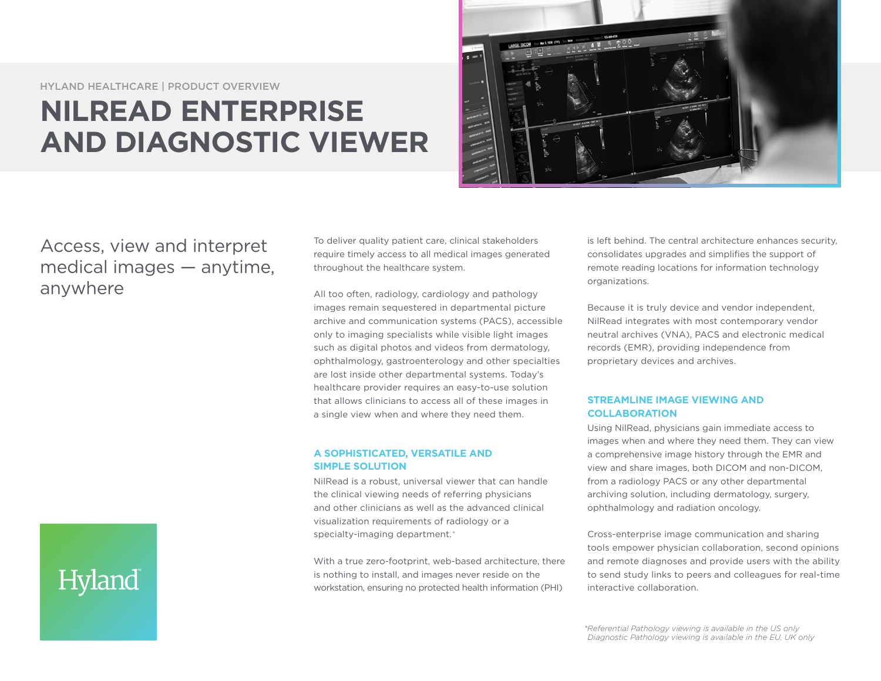HYLAND HEALTHCARE | PRODUCT OVERVIEW

# **NILREAD ENTERPRISE AND DIAGNOSTIC VIEWER**



Access, view and interpret medical images — anytime, anywhere

To deliver quality patient care, clinical stakeholders require timely access to all medical images generated throughout the healthcare system.

All too often, radiology, cardiology and pathology images remain sequestered in departmental picture archive and communication systems (PACS), accessible only to imaging specialists while visible light images such as digital photos and videos from dermatology, ophthalmology, gastroenterology and other specialties are lost inside other departmental systems. Today's healthcare provider requires an easy-to-use solution that allows clinicians to access all of these images in a single view when and where they need them.

### **A SOPHISTICATED, VERSATILE AND SIMPLE SOLUTION**

NilRead is a robust, universal viewer that can handle the clinical viewing needs of referring physicians and other clinicians as well as the advanced clinical visualization requirements of radiology or a specialty-imaging department.\*

With a true zero-footprint, web-based architecture, there is nothing to install, and images never reside on the workstation, ensuring no protected health information (PHI)

is left behind. The central architecture enhances security, consolidates upgrades and simplifies the support of remote reading locations for information technology organizations.

Because it is truly device and vendor independent, NilRead integrates with most contemporary vendor neutral archives (VNA), PACS and electronic medical records (EMR), providing independence from proprietary devices and archives.

## **STREAMLINE IMAGE VIEWING AND COLLABORATION**

Using NilRead, physicians gain immediate access to images when and where they need them. They can view a comprehensive image history through the EMR and view and share images, both DICOM and non-DICOM, from a radiology PACS or any other departmental archiving solution, including dermatology, surgery, ophthalmology and radiation oncology.

Cross-enterprise image communication and sharing tools empower physician collaboration, second opinions and remote diagnoses and provide users with the ability to send study links to peers and colleagues for real-time interactive collaboration.

*\*Referential Pathology viewing is available in the US only Diagnostic Pathology viewing is available in the EU, UK only*